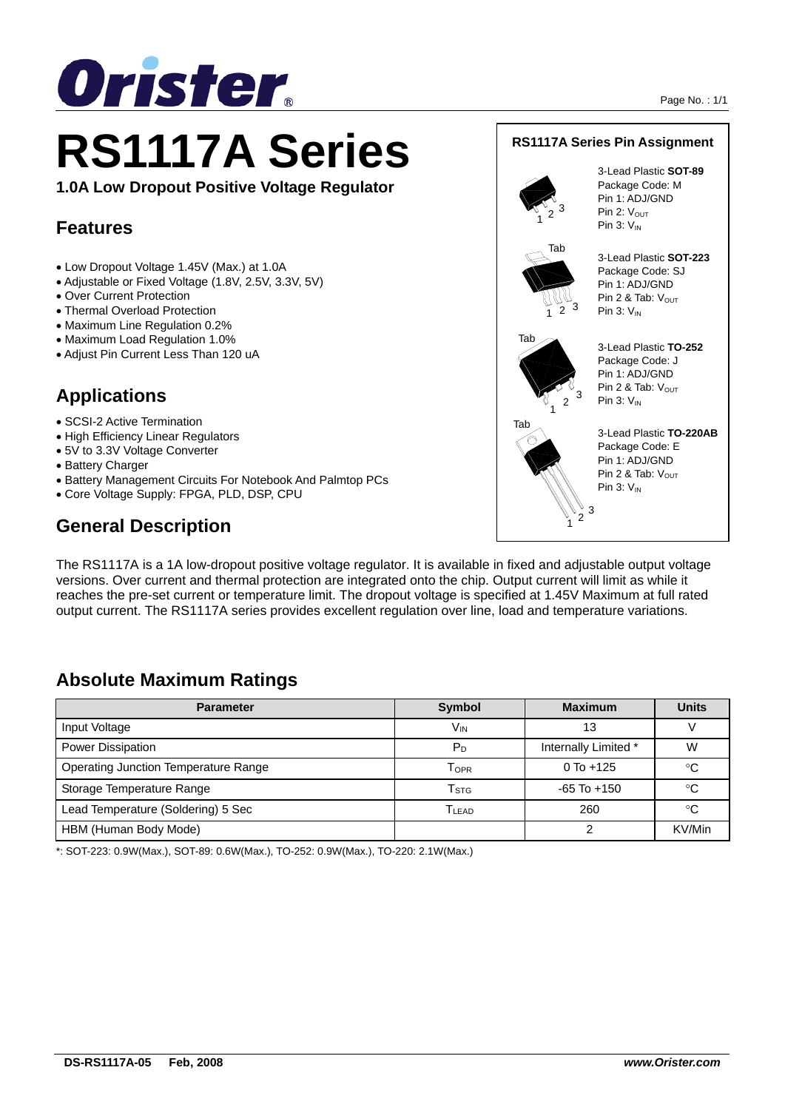

# **RS1117A Series**

**1.0A Low Dropout Positive Voltage Regulator** 

## **Features**

- Low Dropout Voltage 1.45V (Max.) at 1.0A
- Adjustable or Fixed Voltage (1.8V, 2.5V, 3.3V, 5V)
- Over Current Protection
- Thermal Overload Protection
- Maximum Line Regulation 0.2%
- Maximum Load Regulation 1.0%
- Adjust Pin Current Less Than 120 uA

# **Applications**

- SCSI-2 Active Termination
- High Efficiency Linear Regulators
- 5V to 3.3V Voltage Converter
- Battery Charger
- Battery Management Circuits For Notebook And Palmtop PCs
- Core Voltage Supply: FPGA, PLD, DSP, CPU

# **General Description**

The RS1117A is a 1A low-dropout positive voltage regulator. It is available in fixed and adjustable output voltage versions. Over current and thermal protection are integrated onto the chip. Output current will limit as while it reaches the pre-set current or temperature limit. The dropout voltage is specified at 1.45V Maximum at full rated output current. The RS1117A series provides excellent regulation over line, load and temperature variations.

# **Absolute Maximum Ratings**

| <b>Parameter</b>                     | <b>Symbol</b>     | <b>Maximum</b>       | <b>Units</b> |
|--------------------------------------|-------------------|----------------------|--------------|
| Input Voltage                        | V <sub>IN</sub>   | 13                   |              |
| Power Dissipation                    | P <sub>D</sub>    | Internally Limited * | W            |
| Operating Junction Temperature Range | T <sub>OPR</sub>  | $0$ To $+125$        | °C           |
| Storage Temperature Range            | T <sub>STG</sub>  | $-65$ To $+150$      | $^{\circ}C$  |
| Lead Temperature (Soldering) 5 Sec   | T <sub>LEAD</sub> | 260                  | °C           |
| HBM (Human Body Mode)                |                   |                      | KV/Min       |

\*: SOT-223: 0.9W(Max.), SOT-89: 0.6W(Max.), TO-252: 0.9W(Max.), TO-220: 2.1W(Max.)



Pin 1: ADJ/GND Pin 2 & Tab:  $V_{\text{OUT}}$ Pin  $3: V_{1N}$ 



 $2^{\cdot 3}$ 

3-Lead Plastic **TO-220AB** Package Code: E Pin 1: ADJ/GND Pin 2 & Tab:  $V_{\text{OUT}}$ Pin  $3: V_{IN}$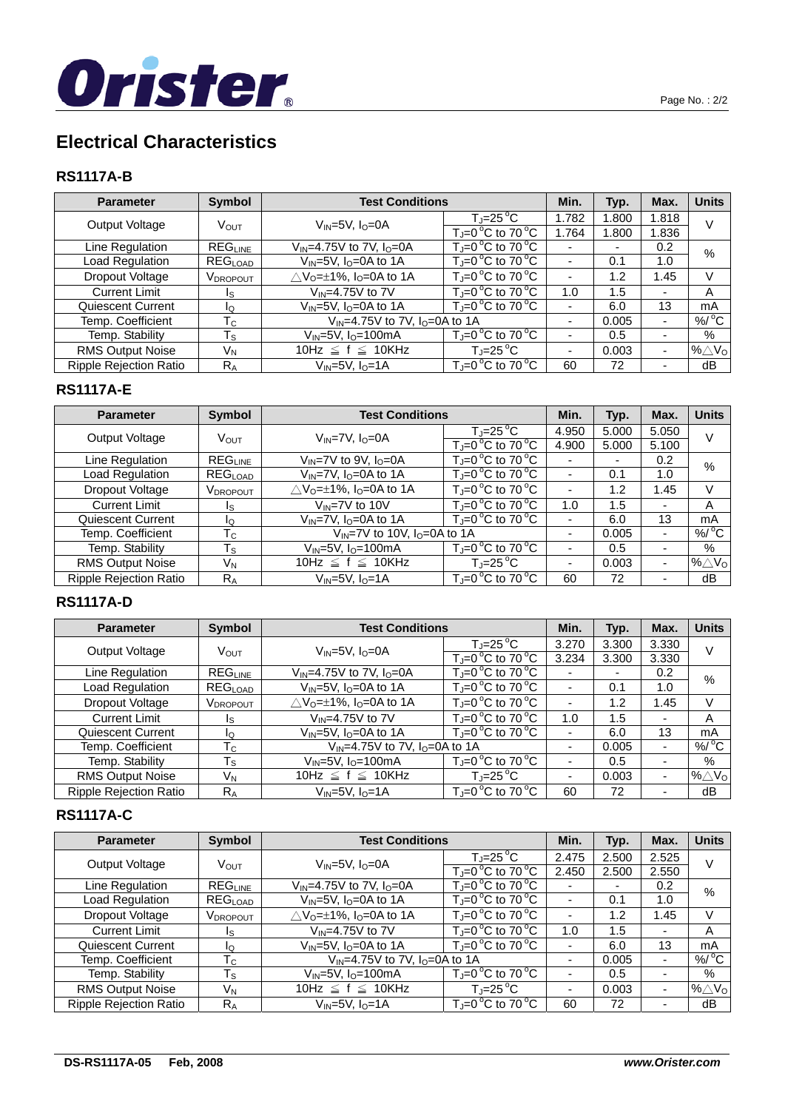

# **Electrical Characteristics**

## **RS1117A-B**

| <b>Parameter</b>              | <b>Symbol</b>                  | <b>Test Conditions</b>                        |                                               | Min.  | Typ.  | Max.                     | <b>Units</b>                 |
|-------------------------------|--------------------------------|-----------------------------------------------|-----------------------------------------------|-------|-------|--------------------------|------------------------------|
| Output Voltage                | V <sub>OUT</sub>               | $V_{IN} = 5V$ , $I_0 = 0A$                    | $T_J = 25 \degree C$                          | 1.782 | 1.800 | 1.818                    | v                            |
|                               |                                |                                               | $T_J=0$ °C to 70 °C                           | 1.764 | 1.800 | 1.836                    |                              |
| Line Regulation               | $\mathsf{REG}_{\mathsf{LINE}}$ | $V_{IN} = 4.75V$ to 7V, $I_{O} = 0A$          | $T_i = 0^\circ C$ to 70 $^\circ C$            |       |       | 0.2                      | %                            |
| Load Regulation               | REG <sub>LOAD</sub>            | $V_{IN} = 5V$ , $I_0 = 0A$ to $\overline{1A}$ | $T_{\rm J}$ =0 °C to 70 °C                    |       | 0.1   | 1.0                      |                              |
| Dropout Voltage               | V <sub>DROPOUT</sub>           | $\triangle V_0 = \pm 1\%$ , $I_0 = 0A$ to 1A  | $T_{\text{J}} = 0^{\circ}C$ to 70 $^{\circ}C$ |       | 1.2   | 1.45                     | V                            |
| <b>Current Limit</b>          | Is                             | $V_{IN} = 4.75V$ to $7V$                      | $T_i = 0^\circ C$ to 70 $^\circ C$            | 1.0   | 1.5   | -                        | A                            |
| Quiescent Current             | ΙQ                             | $V_{IN} = 5V$ , $I_0 = 0A$ to 1A              | $T_J=0$ °C to 70 °C                           |       | 6.0   | 13                       | mA                           |
| Temp. Coefficient             | Тc                             | $V_{IN}$ =4.75V to 7V, $I_{O}$ =0A to 1A      |                                               |       | 0.005 | $\overline{\phantom{0}}$ | $%$ <sup>o</sup> C           |
| Temp. Stability               | $T_{\rm S}$                    | $V_{IN}$ =5V, $I_{O}$ =100mA                  | $T_J = 0$ °C to 70 °C                         |       | 0.5   |                          | %                            |
| <b>RMS Output Noise</b>       | VN                             | 10Hz $\leq$ f $\leq$ 10KHz                    | $T_{\rm J}$ =25 $^{\circ}$ C                  |       | 0.003 |                          | % $\triangle$ V <sub>o</sub> |
| <b>Ripple Rejection Ratio</b> | $R_{A}$                        | $V_{IN} = 5V$ , $I_{O} = 1A$                  | $T_J = 0^\circ C$ to 70 $^\circ C$            | 60    | 72    |                          | dB                           |

### **RS1117A-E**

| <b>Parameter</b>              | <b>Symbol</b>           | <b>Test Conditions</b>                              |                                    | Min.  | Typ.  | Max.                     | <b>Units</b>                 |
|-------------------------------|-------------------------|-----------------------------------------------------|------------------------------------|-------|-------|--------------------------|------------------------------|
| Output Voltage                | VOUT                    | $V_{IN} = 7V$ , $I_0 = 0A$                          | $T = 25^{\circ}C$                  | 4.950 | 5.000 | 5.050                    | V                            |
|                               |                         |                                                     | $T_i = 0^\circ C$ to 70 $^\circ C$ | 4.900 | 5.000 | 5.100                    |                              |
| Line Regulation               | <b>REGLINE</b>          | $V_{IN}$ =7V to 9V, $I_{O}$ =0A                     | $T_i = 0^\circ C$ to 70 $^\circ C$ |       | -     | 0.2                      | $\%$                         |
| Load Regulation               | REG <sub>LOAD</sub>     | $V_{IN}$ =7V, I <sub>O</sub> =0A to $1\overline{A}$ | $T_i = 0^\circ C$ to 70 $^\circ C$ |       | 0.1   | 1.0                      |                              |
| Dropout Voltage               | V <sub>DROPOUT</sub>    | $\triangle V_0 = \pm 1\%$ , $I_0 = 0A$ to 1A        | $T_J = 0^\circ C$ to 70 °C         |       | 1.2   | 1.45                     | V                            |
| <b>Current Limit</b>          | Is                      | $V_{IN} = 7V$ to 10V                                | $T_J = 0^\circ C$ to 70 $^\circ C$ | 1.0   | 1.5   | $\overline{\phantom{0}}$ | A                            |
| Quiescent Current             | ΙO                      | $V_{IN}$ =7V, $I_{O}$ =0A to 1A                     | $T_J = 0^\circ C$ to 70 $^\circ C$ |       | 6.0   | 13                       | mA                           |
| Temp. Coefficient             | $T_{\rm C}$             | $V_{IN}$ =7V to 10V, $I_{O}$ =0A to 1A              |                                    |       | 0.005 | $\overline{\phantom{0}}$ | %/ $^{\circ}$ C              |
| Temp. Stability               | $\mathsf{T}_\mathsf{S}$ | $V_{IN}$ =5V, $I_{O}$ =100mA                        | $T_J=0$ °C to 70 °C                |       | 0.5   |                          | %                            |
| <b>RMS Output Noise</b>       | VN                      | 10Hz $\leq$ f $\leq$ 10KHz                          | $T_{\rm J}$ =25 $^{\circ}$ C       |       | 0.003 |                          | % $\triangle$ V <sub>o</sub> |
| <b>Ripple Rejection Ratio</b> | $R_A$                   | $V_{IN} = 5V$ , $I_{O} = 1A$                        | $T_{\rm J}$ =0 °C to 70 °C         | 60    | 72    |                          | dB                           |

## **RS1117A-D**

| <b>Parameter</b>              | Symbol                    | <b>Test Conditions</b>                       |                                               | Min.  | Typ.  | Max.  | <b>Units</b>                   |
|-------------------------------|---------------------------|----------------------------------------------|-----------------------------------------------|-------|-------|-------|--------------------------------|
| Output Voltage                | Vout                      | $V_{IN} = 5V$ , $I_{O} = 0A$                 | $T_J = 25^{\circ}C$                           | 3.270 | 3.300 | 3.330 | v                              |
|                               |                           |                                              | $T_{\rm J}$ =0 °C to 70 °C                    | 3.234 | 3.300 | 3.330 |                                |
| Line Regulation               | REG <sub>INE</sub>        | $V_{IN} = 4.75V$ to 7V, $I_{O} = 0A$         | $T_i = 0^\circ C$ to 70 $^\circ C$            |       |       | 0.2   | $\%$                           |
| Load Regulation               | REG <sub>LOAD</sub>       | $V_{IN} = 5V$ , $I_{O} = 0A$ to 1A           | $T_i = 0^\circ C$ to 70 $^\circ C$            |       | 0.1   | 1.0   |                                |
| Dropout Voltage               | V <sub>DROPOUT</sub>      | $\triangle V_0 = \pm 1\%$ , $I_0 = 0A$ to 1A | $T_{\text{J}} = 0^{\circ}C$ to 70 $^{\circ}C$ |       | 1.2   | 1.45  | V                              |
| <b>Current Limit</b>          | Is                        | $V_{IN} = 4.75V$ to $7V$                     | $T_J = 0^\circ C$ to 70 $^\circ C$            | 1.0   | 1.5   | -     | A                              |
| Quiescent Current             | Ιo                        | $V_{IN} = 5V$ , $I_{O} = 0A$ to 1A           | $T_J = 0^\circ C$ to 70 $^\circ C$            |       | 6.0   | 13    | mA                             |
| Temp. Coefficient             | $\mathsf{T}_{\mathsf{C}}$ | $V_{IN} = 4.75V$ to 7V, $I_{O} = 0A$ to 1A   |                                               |       | 0.005 | -     | $%$ <sup>o</sup> C             |
| Temp. Stability               | $T_{\rm S}$               | $V_{IN}$ =5V, $I_{O}$ =100mA                 | $T_{\rm J}$ =0 °C to 70 °C                    |       | 0.5   |       | $\%$                           |
| <b>RMS Output Noise</b>       | V <sub>N</sub>            | 10Hz $\leq$ f $\leq$ 10KHz                   | $T_{\rm J}$ =25 $^{\circ}$ C                  |       | 0.003 | -     | $%$ $\triangle$ $V_{\text{O}}$ |
| <b>Ripple Rejection Ratio</b> | $R_A$                     | $V_{IN}$ =5V, I <sub>O</sub> =1A             | $T_J = 0^\circ C$ to 70 $^\circ C$            | 60    | 72    |       | dB                             |

## **RS1117A-C**

| <b>Parameter</b>              | Symbol                    | <b>Test Conditions</b>                             |                                      | Min.                     | Typ.  | Max.                     | <b>Units</b>       |
|-------------------------------|---------------------------|----------------------------------------------------|--------------------------------------|--------------------------|-------|--------------------------|--------------------|
| Output Voltage                | V <sub>OUT</sub>          | $V_{IN} = 5V$ , $IO=0A$                            | $T_J = 25 \degree C$                 | 2.475                    | 2.500 | 2.525                    | V                  |
|                               |                           |                                                    | $T_J = 0^\circ C$ to 70 $^\circ C$   | 2.450                    | 2.500 | 2.550                    |                    |
| Line Regulation               | REGLINE                   | $V_{\text{IN}} = 4.75V$ to 7V, $I_{\text{O}} = 0A$ | $T_J=0$ °C to 70 °C                  |                          | ۰     | 0.2                      | $\%$               |
| Load Regulation               | REG <sub>LOAD</sub>       | $V_{IN} = 5V$ , $I_{O} = 0A$ to 1A                 | $T_J = 0^\circ C$ to 70 $^\circ C$   |                          | 0.1   | 1.0                      |                    |
| Dropout Voltage               | V <sub>DROPOUT</sub>      | $\triangle V_0 = \pm 1\%$ , $I_0 = 0A$ to 1A       | $T_{\rm J}$ =0 °C to 70 °C           |                          | 1.2   | 1.45                     | V                  |
| <b>Current Limit</b>          | ıs                        | $V_{IN} = 4.75V$ to $7V$                           | $T = 0^{\circ}$ C to 70 $^{\circ}$ C | 1.0                      | 1.5   | $\overline{\phantom{0}}$ | Α                  |
| Quiescent Current             | ΙQ                        | $V_{IN}$ =5V, I <sub>O</sub> =0A to 1A             | $T_J = 0^\circ C$ to 70 $^\circ C$   |                          | 6.0   | 13                       | mA                 |
| Temp. Coefficient             | $\mathsf{T}_{\mathsf{C}}$ | $V_{IN} = 4.75V$ to 7V, $I_{O} = 0A$ to 1A         |                                      | $\overline{\phantom{0}}$ | 0.005 | $\overline{\phantom{0}}$ | $%$ <sup>o</sup> C |
| Temp. Stability               | $\mathsf{T}_\mathsf{S}$   | $V_{IN}$ =5V, $I_{O}$ =100mA                       | $T_{\rm J}$ =0 °C to 70 °C           |                          | 0.5   |                          | %                  |
| <b>RMS Output Noise</b>       | VN                        | 10Hz $\leq$ f $\leq$ 10KHz                         | $T_{\rm J}$ =25 $^{\circ}$ C         | $\overline{\phantom{0}}$ | 0.003 | $\overline{\phantom{0}}$ | % $\triangle$ Vo   |
| <b>Ripple Rejection Ratio</b> | $R_A$                     | $V_{IN}=5V$ , $I_0=1A$                             | $\overline{T} = 0$ °C to 70 °C       | 60                       | 72    |                          | dB                 |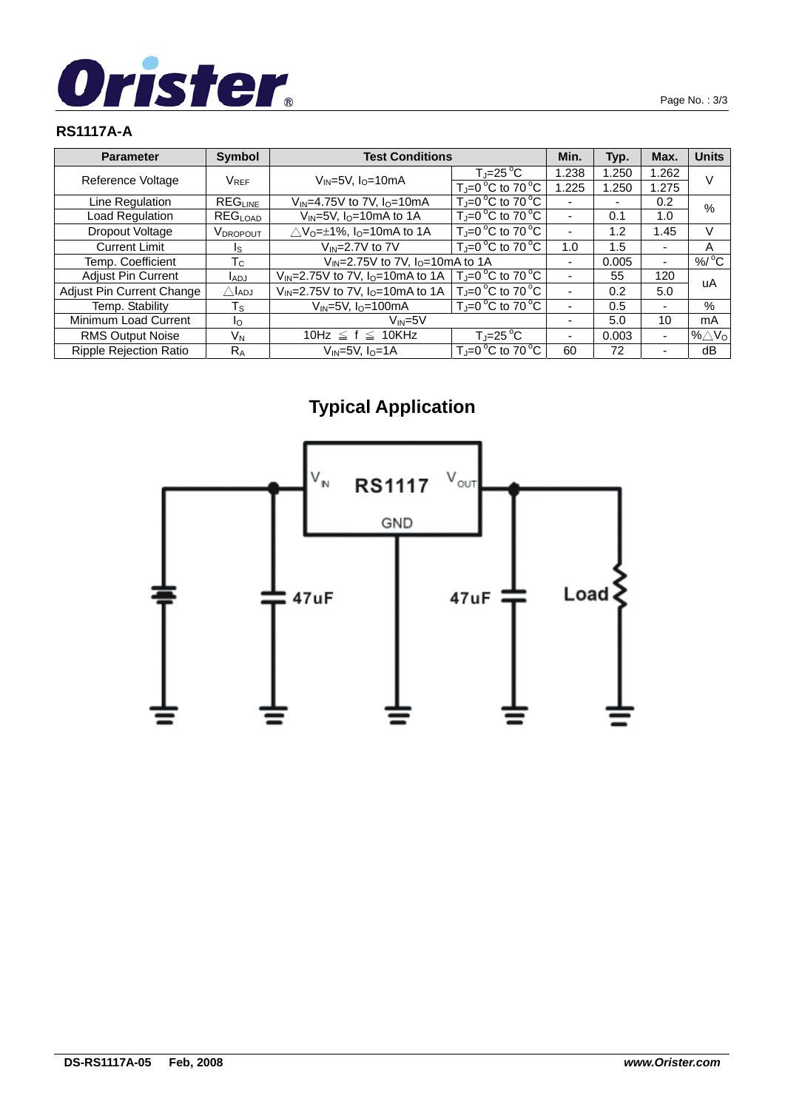

## **RS1117A-A**

| <b>Parameter</b>              | <b>Symbol</b>           | <b>Test Conditions</b>                          |                                              | Min.  | Typ.  | Max.                     | <b>Units</b>       |
|-------------------------------|-------------------------|-------------------------------------------------|----------------------------------------------|-------|-------|--------------------------|--------------------|
| Reference Voltage             |                         | $V_{IN}$ =5V, $I_{O}$ =10mA                     | $T_J = 25^{\circ}C$                          | 1.238 | 1.250 | 1.262                    | V                  |
|                               | $V_{REF}$               |                                                 | $T_{\rm J}$ =0 °C to 70 °C                   | 1.225 | 1.250 | 1.275                    |                    |
| Line Regulation               | <b>REGLINE</b>          | $V_{IN} = 4.75V$ to 7V, $I_{O} = 10mA$          | $T_i = 0^\circ C$ to 70 $^\circ C$           |       | -     | 0.2                      | $\%$               |
| Load Regulation               | REG <sub>LOAD</sub>     | $V_{IN}$ =5V, I <sub>O</sub> =10mA to 1A        | $T = 0^{\circ}$ C to 70 $^{\circ}$ C         |       | 0.1   | 1.0                      |                    |
| Dropout Voltage               | V <sub>DROPOUT</sub>    | $\triangle V_0 = \pm 1\%$ , $I_0 = 10$ mA to 1A | $T_J = 0^\circ C$ to 70 °C                   |       | 1.2   | 1.45                     | V                  |
| <b>Current Limit</b>          | Is                      | $V_{IN} = 2.7V$ to $7V$                         | $T_J = 0^\circ C$ to 70 $^\circ C$           | 1.0   | 1.5   | $\overline{\phantom{0}}$ | A                  |
| Temp. Coefficient             | Тc                      |                                                 | $V_{IN} = 2.75V$ to 7V, $I_{O} = 10mA$ to 1A |       | 0.005 | $\overline{\phantom{0}}$ | $%$ <sup>o</sup> C |
| <b>Adjust Pin Current</b>     | l <sub>ADJ</sub>        | $V_{IN} = 2.75V$ to 7V, $I_{O} = 10$ mA to 1A   | $T_J = 0^\circ C$ to 70 $^\circ C$           |       | 55    | 120                      |                    |
| Adjust Pin Current Change     | $\triangle$ ladj        | $V_{IN} = 2.75V$ to 7V, $I_{O} = 10$ mA to 1A   | $T_J = 0$ °C to 70 °C                        |       | 0.2   | 5.0                      | uA                 |
| Temp. Stability               | $\mathsf{T}_\mathsf{S}$ | $V_{IN}$ =5V, $I_{O}$ =100mA                    | $T_{\rm J}$ =0 °C to 70 °C                   |       | 0.5   | ۰                        | %                  |
| Minimum Load Current          | Ιo                      | $V_{IN} = 5V$                                   |                                              |       | 5.0   | 10                       | mA                 |
| <b>RMS Output Noise</b>       | VN                      | 10Hz $\leq$ f $\leq$ 10KHz                      | $T_J = 25$ °C                                |       | 0.003 | $\overline{\phantom{0}}$ | % $\triangle$ Vo   |
| <b>Ripple Rejection Ratio</b> | $R_A$                   | $V_{IN}=5V$ , $IO=1A$                           | $T_J=0$ °C to 70 °C                          | 60    | 72    | $\overline{\phantom{0}}$ | dВ                 |

# **Typical Application**

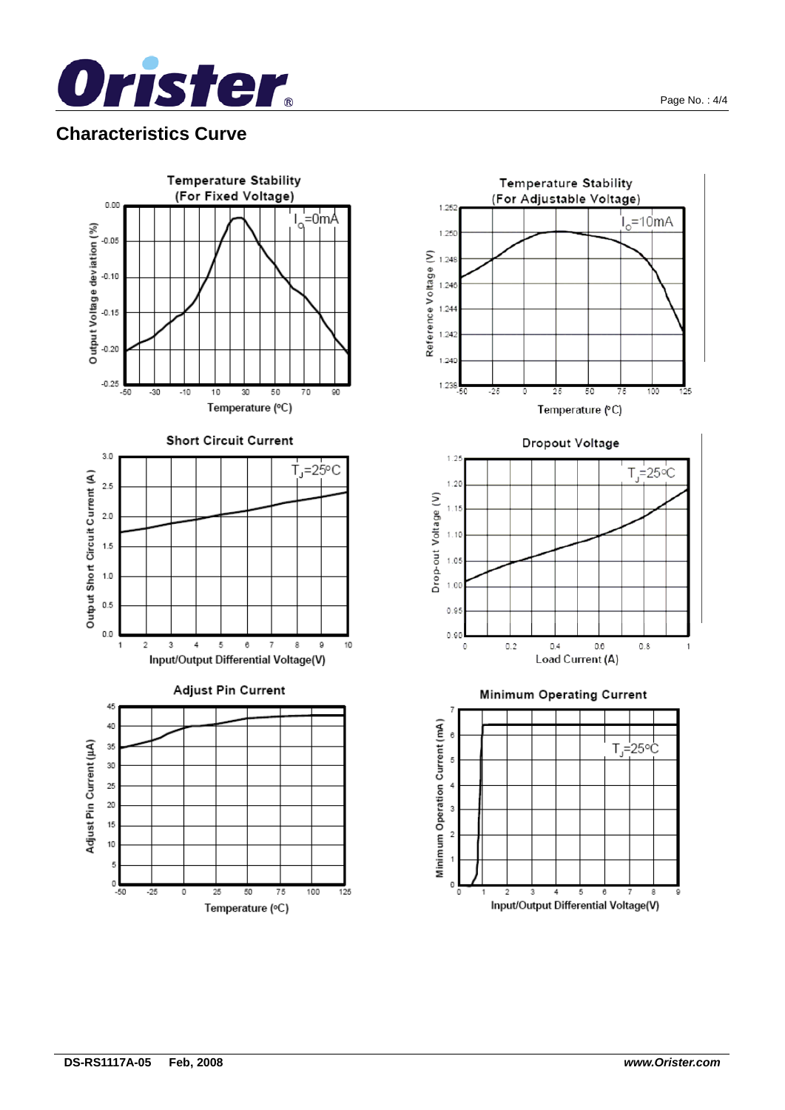

## **Characteristics Curve**



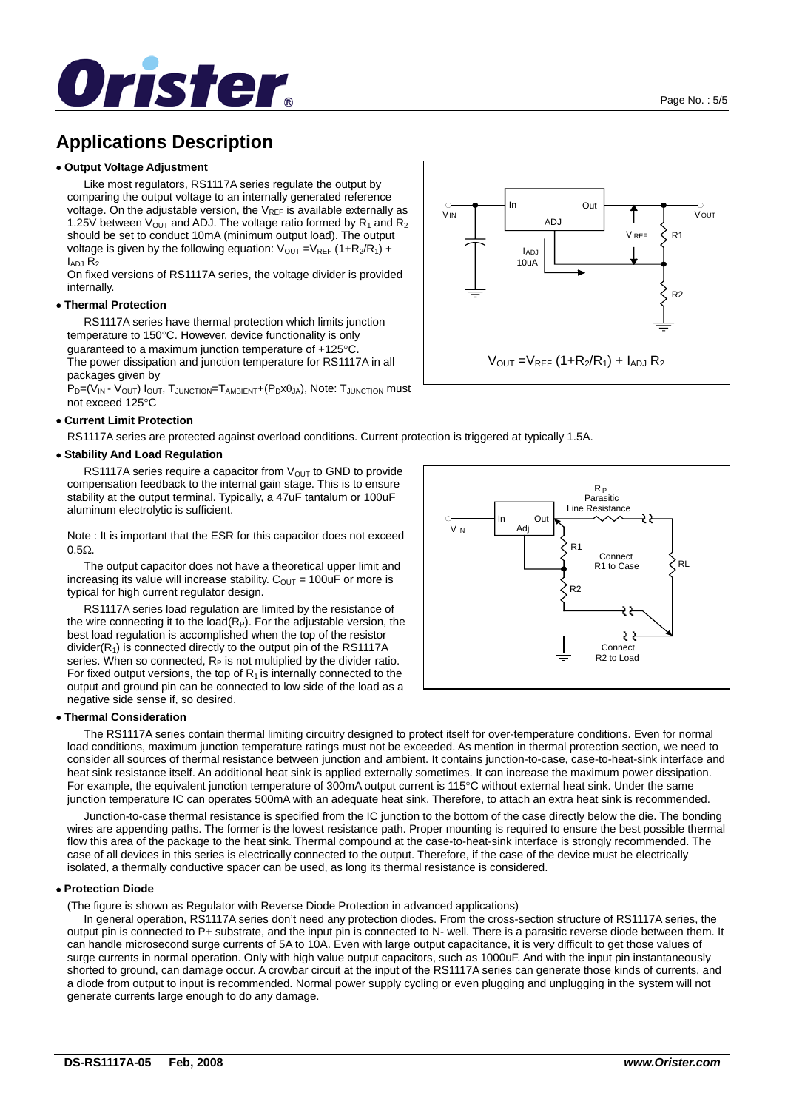

## **Applications Description**

#### • **Output Voltage Adjustment**

 Like most regulators, RS1117A series regulate the output by comparing the output voltage to an internally generated reference voltage. On the adjustable version, the  $V_{REF}$  is available externally as 1.25V between  $V_{\text{OUT}}$  and ADJ. The voltage ratio formed by R<sub>1</sub> and R<sub>2</sub> should be set to conduct 10mA (minimum output load). The output voltage is given by the following equation:  $V_{OUT} = V_{REF} (1 + R_2/R_1) +$  $I_{ADJ}$   $R_2$ 

On fixed versions of RS1117A series, the voltage divider is provided internally.

#### • **Thermal Protection**

 RS1117A series have thermal protection which limits junction temperature to 150°C. However, device functionality is only guaranteed to a maximum junction temperature of +125°C. The power dissipation and junction temperature for RS1117A in all packages given by

 $P_D=(V_{IN} - V_{OUT}) I_{OUT}$ ,  $T_{JUNCTION} = T_{AMBIENT} + (P_D X \theta_{JA})$ , Note:  $T_{JUNCTION}$  must not exceed 125°C

#### • **Current Limit Protection**

RS1117A series are protected against overload conditions. Current protection is triggered at typically 1.5A.

#### • **Stability And Load Regulation**

RS1117A series require a capacitor from  $V_{OUT}$  to GND to provide compensation feedback to the internal gain stage. This is to ensure stability at the output terminal. Typically, a 47uF tantalum or 100uF aluminum electrolytic is sufficient.

Note : It is important that the ESR for this capacitor does not exceed 0.5Ω.

 The output capacitor does not have a theoretical upper limit and increasing its value will increase stability.  $C_{\text{OUT}} = 100$ uF or more is typical for high current regulator design.

 RS1117A series load regulation are limited by the resistance of the wire connecting it to the load( $R_P$ ). For the adjustable version, the best load regulation is accomplished when the top of the resistor  $divider(R<sub>1</sub>)$  is connected directly to the output pin of the RS1117A series. When so connected,  $R_P$  is not multiplied by the divider ratio. For fixed output versions, the top of  $R_1$  is internally connected to the output and ground pin can be connected to low side of the load as a negative side sense if, so desired.

#### • **Thermal Consideration**

 The RS1117A series contain thermal limiting circuitry designed to protect itself for over-temperature conditions. Even for normal load conditions, maximum junction temperature ratings must not be exceeded. As mention in thermal protection section, we need to consider all sources of thermal resistance between junction and ambient. It contains junction-to-case, case-to-heat-sink interface and heat sink resistance itself. An additional heat sink is applied externally sometimes. It can increase the maximum power dissipation. For example, the equivalent junction temperature of 300mA output current is 115°C without external heat sink. Under the same junction temperature IC can operates 500mA with an adequate heat sink. Therefore, to attach an extra heat sink is recommended.

 Junction-to-case thermal resistance is specified from the IC junction to the bottom of the case directly below the die. The bonding wires are appending paths. The former is the lowest resistance path. Proper mounting is required to ensure the best possible thermal flow this area of the package to the heat sink. Thermal compound at the case-to-heat-sink interface is strongly recommended. The case of all devices in this series is electrically connected to the output. Therefore, if the case of the device must be electrically isolated, a thermally conductive spacer can be used, as long its thermal resistance is considered.

#### • **Protection Diode**

(The figure is shown as Regulator with Reverse Diode Protection in advanced applications)

 In general operation, RS1117A series don't need any protection diodes. From the cross-section structure of RS1117A series, the output pin is connected to P+ substrate, and the input pin is connected to N- well. There is a parasitic reverse diode between them. It can handle microsecond surge currents of 5A to 10A. Even with large output capacitance, it is very difficult to get those values of surge currents in normal operation. Only with high value output capacitors, such as 1000uF. And with the input pin instantaneously shorted to ground, can damage occur. A crowbar circuit at the input of the RS1117A series can generate those kinds of currents, and a diode from output to input is recommended. Normal power supply cycling or even plugging and unplugging in the system will not generate currents large enough to do any damage.



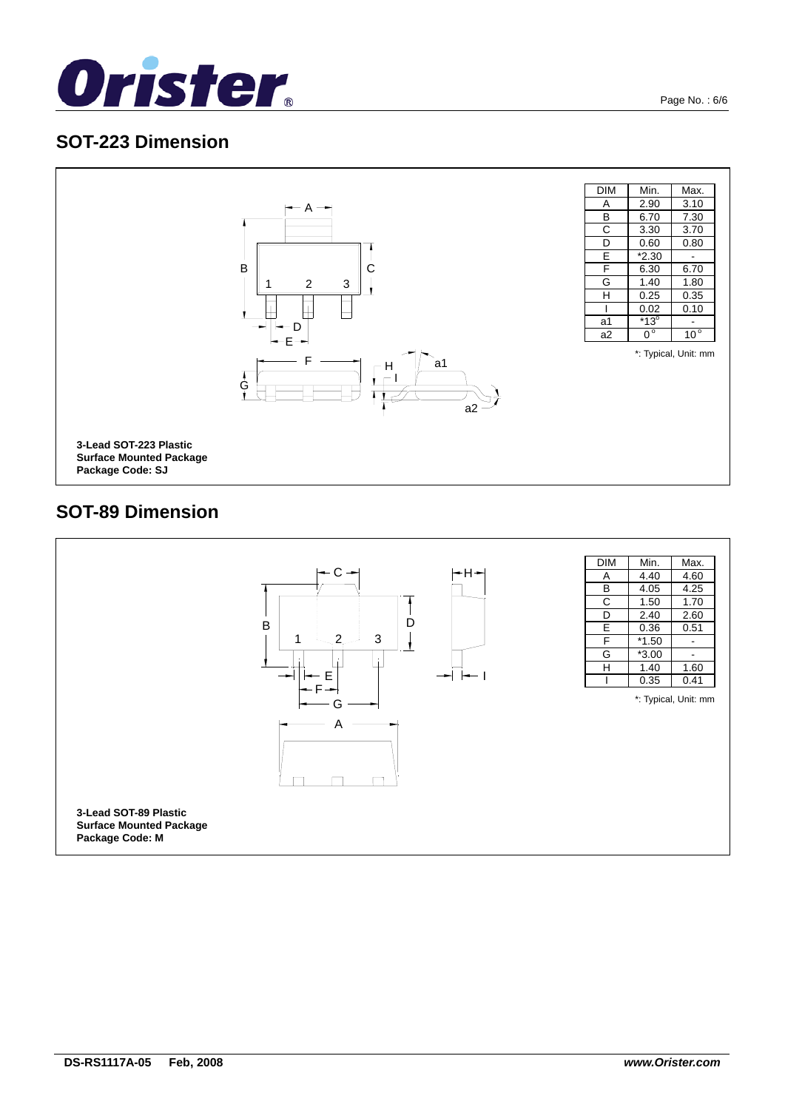



## **SOT-89 Dimension**

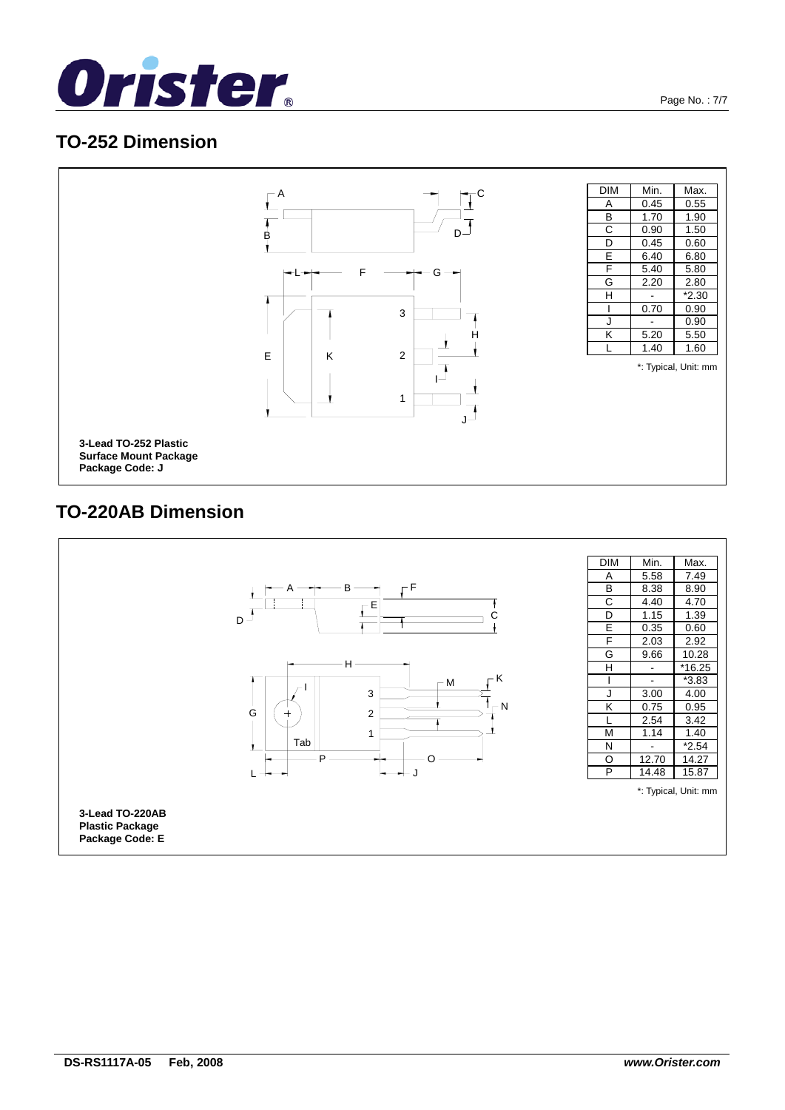



# **TO-220AB Dimension**

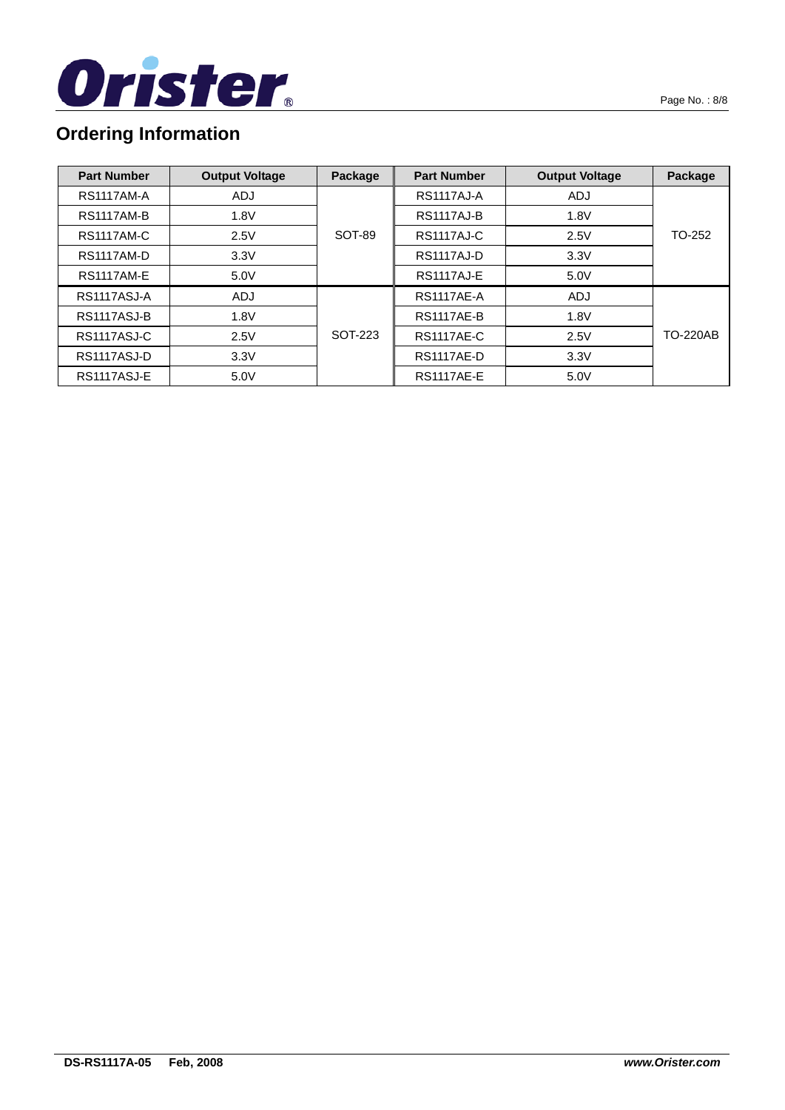

# **Ordering Information**

| <b>Part Number</b> | <b>Output Voltage</b> | Package | <b>Part Number</b> | <b>Output Voltage</b> | Package         |
|--------------------|-----------------------|---------|--------------------|-----------------------|-----------------|
| <b>RS1117AM-A</b>  | <b>ADJ</b>            |         | <b>RS1117AJ-A</b>  | <b>ADJ</b>            |                 |
| <b>RS1117AM-B</b>  | 1.8V                  |         | <b>RS1117AJ-B</b>  | 1.8V                  |                 |
| <b>RS1117AM-C</b>  | 2.5V                  | SOT-89  | RS1117AJ-C         | 2.5V                  | TO-252          |
| <b>RS1117AM-D</b>  | 3.3V                  |         | RS1117AJ-D         | 3.3V                  |                 |
| <b>RS1117AM-E</b>  | 5.0V                  |         | <b>RS1117AJ-E</b>  | 5.0V                  |                 |
| RS1117ASJ-A        | <b>ADJ</b>            |         | <b>RS1117AE-A</b>  | ADJ                   |                 |
| RS1117ASJ-B        | 1.8V                  |         | <b>RS1117AE-B</b>  | 1.8V                  |                 |
| RS1117ASJ-C        | 2.5V                  | SOT-223 | <b>RS1117AE-C</b>  | 2.5V                  | <b>TO-220AB</b> |
| RS1117ASJ-D        | 3.3V                  |         | <b>RS1117AE-D</b>  | 3.3V                  |                 |
| RS1117ASJ-E        | 5.0V                  |         | <b>RS1117AE-E</b>  | 5.0V                  |                 |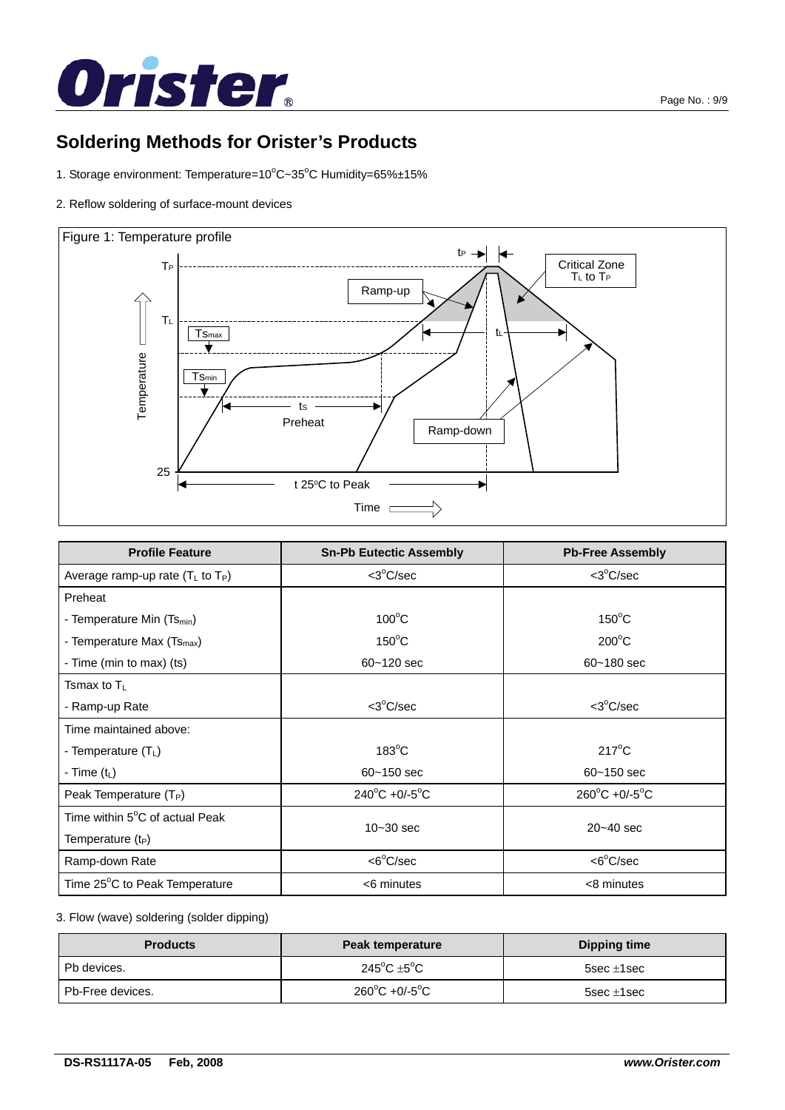

# **Soldering Methods for Orister's Products**

- 1. Storage environment: Temperature=10°C~35°C Humidity=65%±15%
- 2. Reflow soldering of surface-mount devices



| <b>Profile Feature</b>                      | <b>Sn-Pb Eutectic Assembly</b>     | <b>Pb-Free Assembly</b>            |
|---------------------------------------------|------------------------------------|------------------------------------|
| Average ramp-up rate $(T_L$ to $T_P$ )      | <3°C/sec                           | $<$ 3 $^{\circ}$ C/sec             |
| Preheat                                     |                                    |                                    |
| - Temperature Min (Ts <sub>min</sub> )      | $100^{\circ}$ C                    | $150^{\circ}$ C                    |
| - Temperature Max (Ts <sub>max</sub> )      | $150^{\circ}$ C                    | $200^{\circ}$ C                    |
| - Time (min to max) (ts)                    | $60 - 120$ sec                     | $60 - 180$ sec                     |
| Tsmax to $T_L$                              |                                    |                                    |
| - Ramp-up Rate                              | $<$ 3 $^{\circ}$ C/sec             | $3°C/sec$                          |
| Time maintained above:                      |                                    |                                    |
| - Temperature $(TL)$                        | $183^{\circ}$ C                    | $217^{\circ}$ C                    |
| - Time $(t_L)$                              | $60 - 150$ sec                     | $60 - 150$ sec                     |
| Peak Temperature (T <sub>P</sub> )          | $240^{\circ}$ C +0/-5 $^{\circ}$ C | $260^{\circ}$ C +0/-5 $^{\circ}$ C |
| Time within 5 <sup>o</sup> C of actual Peak | $10 - 30$ sec                      | $20 - 40$ sec                      |
| Temperature $(t_P)$                         |                                    |                                    |
| Ramp-down Rate                              | <6°C/sec                           | $<6^{\circ}$ C/sec                 |
| Time 25°C to Peak Temperature               | <6 minutes                         | <8 minutes                         |

#### 3. Flow (wave) soldering (solder dipping)

| <b>Products</b>  | Peak temperature                      | <b>Dipping time</b> |
|------------------|---------------------------------------|---------------------|
| Pb devices.      | 245 $^{\circ}$ C $\pm$ 5 $^{\circ}$ C | $5$ sec $\pm$ 1sec  |
| Pb-Free devices. | $260^{\circ}$ C +0/-5 $^{\circ}$ C    | $5sec \pm 1sec$     |